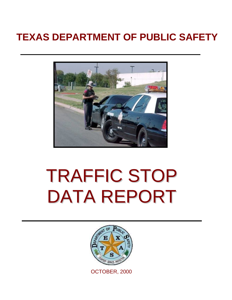# **TEXAS DEPARTMENT OF PUBLIC SAFETY**



# TRAFFIC STOP DATA REPORT



OCTOBER, 2000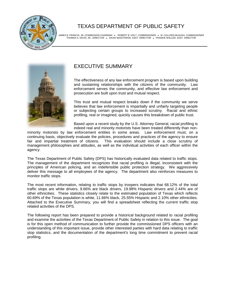

## TEXAS DEPARTMENT OF PUBLIC SAFETY

JAMES B. FRANCIS, JR.,COMMISSION CHAIRMAN !" ROBERT B. HOLT, COMMISSIONER !"M. COLLEEN McHUGH, COMMISSIONER THOMAS A. DAVIS, JR., DIRECTOR ▲ DAVID McEATHRON, ASST. DIRECTOR ▲ FRANKIE WALLER, ASST. DIRECTOR



### EXECUTIVE SUMMARY

The effectiveness of any law enforcement program is based upon building and sustaining relationships with the citizens of the community. Law enforcement serves the community, and effective law enforcement and prosecution are built upon trust and mutual respect.

This trust and mutual respect breaks down if the community we serve believes that law enforcement is impartially and unfairly targeting people or subjecting certain groups to increased scrutiny. Racial and ethnic profiling, real or imagined, quickly causes this breakdown of public trust.

Based upon a recent study by the U.S. Attorney General, racial profiling is indeed real and minority motorists have been treated differently than non-

minority motorists by law enforcement entities in some areas. Law enforcement must, on a continuing basis, objectively evaluate the policies, procedures and practices of the agency to ensure fair and impartial treatment of citizens. This evaluation should include a close scrutiny of management philosophies and attitudes, as well as the individual activities of each officer within the agency.

The Texas Department of Public Safety (DPS) has historically evaluated data related to traffic stops. The management of the department recognizes that racial profiling is illegal, inconsistent with the principles of American policing, and an indefensible public protection strategy. We aggressively deliver this message to all employees of the agency. The department also reinforces measures to monitor traffic stops.

The most recent information, relating to traffic stops by troopers indicates that 68.12% of the total traffic stops are white drivers, 9.66% are black drivers, 19.98% Hispanic drivers and 2.44% are of other ethnicities. These statistics closely relate to the estimated population of Texas which reflects 60.69% of the Texas population is white, 11.66% black, 25.55% Hispanic and 2.10% other ethnicities. Attached to the Executive Summary, you will find a spreadsheet reflecting the current traffic stop related activities of the DPS.

The following report has been prepared to provide a historical background related to racial profiling and examine the activities of the Texas Department of Public Safety in relation to this issue. The goal is for this open method of communication to further provide the commissioned DPS officers with an understanding of this important issue, provide other interested parties with hard data relating to traffic stop statistics, and the documentation of the department's long time commitment to prevent racial profiling.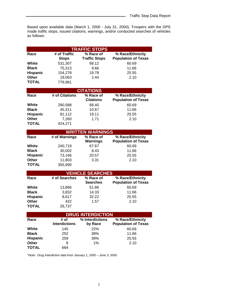Based upon available data (March 1, 2000 - July 31, 2000), Troopers with the DPS made traffic stops, issued citations, warnings, and/or conducted searches of vehicles as follows:

| <b>TRAFFIC STOPS</b> |                              |                                   |                                                |  |  |  |  |  |  |
|----------------------|------------------------------|-----------------------------------|------------------------------------------------|--|--|--|--|--|--|
| Race                 | # of Traffic<br><b>Stops</b> | % Race of<br><b>Traffic Stops</b> | % Race/Ethnicity<br><b>Population of Texas</b> |  |  |  |  |  |  |
| White                | 531,307                      | 68.12                             | 60.69                                          |  |  |  |  |  |  |
| <b>Black</b>         | 75,313                       | 9.66                              | 11.66                                          |  |  |  |  |  |  |
| <b>Hispanic</b>      | 154,278                      | 19.78                             | 25.55                                          |  |  |  |  |  |  |
| Other                | 19,063                       | 2.44                              | 2.10                                           |  |  |  |  |  |  |
| <b>TOTAL</b>         | 779,961                      |                                   |                                                |  |  |  |  |  |  |

| <b>CITATIONS</b> |                |                               |                                                |  |  |  |  |
|------------------|----------------|-------------------------------|------------------------------------------------|--|--|--|--|
| Race             | # of Citations | % Race of<br><b>Citations</b> | % Race/Ethnicity<br><b>Population of Texas</b> |  |  |  |  |
| White            | 290,588        | 68.40                         | 60.69                                          |  |  |  |  |
| <b>Black</b>     | 45,311         | 10.67                         | 11.66                                          |  |  |  |  |
| Hispanic         | 81,112         | 19.11                         | 25.55                                          |  |  |  |  |
| <b>Other</b>     | 7.260          | 1.71                          | 2.10                                           |  |  |  |  |
| <b>TOTAL</b>     | 424,271        |                               |                                                |  |  |  |  |

| <b>WRITTEN WARNINGS</b> |               |                       |                                                |  |  |  |  |  |
|-------------------------|---------------|-----------------------|------------------------------------------------|--|--|--|--|--|
| Race                    | # of Warnings | % Race of<br>Warnings | % Race/Ethnicity<br><b>Population of Texas</b> |  |  |  |  |  |
| White                   | 240,719       | 67.67                 | 60.69                                          |  |  |  |  |  |
| <b>Black</b>            | 30,002        | 8.43                  | 11.66                                          |  |  |  |  |  |
| Hispanic                | 73,166        | 20.57                 | 25.55                                          |  |  |  |  |  |
| <b>Other</b>            | 11,803        | 3.31                  | 2.10                                           |  |  |  |  |  |
| <b>TOTAL</b>            | 355,690       |                       |                                                |  |  |  |  |  |

| <b>VEHICLE SEARCHES</b> |               |                              |                                                |  |  |  |  |  |
|-------------------------|---------------|------------------------------|------------------------------------------------|--|--|--|--|--|
| Race                    | # of Searches | % Race of<br><b>Searches</b> | % Race/Ethnicity<br><b>Population of Texas</b> |  |  |  |  |  |
| White                   | 13,866        | 51.86                        | 60.69                                          |  |  |  |  |  |
| <b>Black</b>            | 3,832         | 14.33                        | 11.66                                          |  |  |  |  |  |
| Hispanic                | 8,617         | 32.22                        | 25.55                                          |  |  |  |  |  |
| Other                   | 422           | 1.57                         | 2.10                                           |  |  |  |  |  |
| <b>TOTAL</b>            | 26,737        |                              |                                                |  |  |  |  |  |

| <b>DRUG INTERDICTION</b> |                              |                            |                                                |  |  |  |  |  |
|--------------------------|------------------------------|----------------------------|------------------------------------------------|--|--|--|--|--|
| Race                     | # of<br><b>Interdictions</b> | % Interdictions<br>by Race | % Race/Ethnicity<br><b>Population of Texas</b> |  |  |  |  |  |
| White                    | 145                          | <b>22%</b>                 | 60.69                                          |  |  |  |  |  |
| <b>Black</b>             | 252                          | 38%                        | 11.66                                          |  |  |  |  |  |
| Hispanic                 | 259                          | 39%                        | 25.55                                          |  |  |  |  |  |
| Other                    | 8                            | $1\%$                      | 2.10                                           |  |  |  |  |  |
| <b>TOTAL</b>             | 664                          |                            |                                                |  |  |  |  |  |

*\*Note: Drug Interdiction data from January 1, 2000 – June 3, 2000.*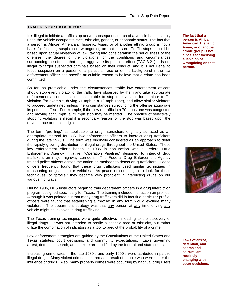#### **TRAFFIC STOP DATA REPORT**

It is illegal to initiate a traffic stop and/or subsequent search of a vehicle based simply upon the vehicle occupant's race, ethnicity, gender, or economic status. The fact that a person is African American, Hispanic, Asian, or of another ethnic group is not a basis for focusing suspicion of wrongdoing on that person. Traffic stops should be based upon actual violations of law, taking into consideration the seriousness of the offenses, the degree of the violations, or the conditions and circumstances surrounding the offense that might aggravate its potential effect (TAC 3.21). It is not illegal to target suspected criminals based on their conduct, and it is not illegal to focus suspicion on a person of a particular race or ethnic background if the law enforcement officer has specific articulable reason to believe that a crime has been committed.

So far, as practicable under the circumstances, traffic law enforcement officers should stop every violator of the traffic laws observed by them and take appropriate enforcement action. It is not acceptable to stop one violator for a minor traffic violation (for example, driving 71 mph in a 70 mph zone), and allow similar violators to proceed undetained unless the circumstances surrounding the offense aggravate its potential effect. For example, if the flow of traffic in a 70 mph zone was congested and moving at 55 mph, a 71 mph stop may be merited. The practice of selectively stopping violators is illegal if a secondary reason for the stop was based upon the driver's race or ethnic origin.

The term "profiling," as applicable to drug interdiction, originally surfaced as an appropriate method for U.S. law enforcement officers to interdict drug traffickers during the late 1970's. The term was originally considered as an approach to deter the rapidly growing distribution of illegal drugs throughout the United States. These law enforcement efforts began in 1985 in conjunction with a Federal Drug Enforcement Agency initiative, "Operation Pipeline," designed to interdict drug traffickers on major highway corridors. The Federal Drug Enforcement Agency trained police officers across the nation on methods to detect drug traffickers. Peace officers frequently found that these drug traffickers used similar techniques in transporting drugs in motor vehicles. As peace officers began to look for these techniques, or "profile," they became very proficient in interdicting drugs on our various highways.

During 1986, DPS instructors began to train department officers in a drug interdiction program designed specifically for Texas. The training included instruction on profiles. Although it was pointed out that many drug traffickers did in fact fit a particular profile, officers were taught that establishing a "profile" in any form would exclude many violators. The department strategy was that any person at any time driving any vehicle might be involved in drug trafficking.

The Texas training techniques were quite effective, in leading to the discovery of illegal drugs. It was not intended to profile a specific race or ethnicity, but rather utilize the combination of indicators as a tool to predict the probability of a crime.

Law enforcement strategies are guided by the Constitutions of the United States and Texas statutes, court decisions, and community expectations. Laws governing arrest, detention, search, and seizure are modified by the federal and state courts.

Increasing crime rates in the late 1980's and early 1990's were attributed in part to illegal drugs. Many violent crimes occurred as a result of people who were under the influence of drugs. Also, many property crimes were occurring by habitual drug users

**The fact that a person is African American, Hispanic, Asian, or of another ethnic group is not a basis for focusing suspicion of wrongdoing on that person.**



**Laws of arrest, detention, and search and seizure, are routinely changing with court decisions.**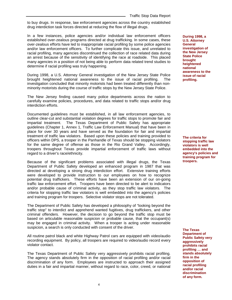to buy drugs. In response, law enforcement agencies across the country established drug interdiction task forces directed at reducing the flow of illegal drugs.

In a few instances, police agencies and/or individual law enforcement officers established over-zealous programs directed at drug trafficking. In some cases, these over-zealous efforts have led to inappropriate racial profiling by some police agencies and/or law enforcement officers. To further complicate this issue, and unrelated to racial profiling, many agencies discontinued the collection of race related data during an arrest because of the sensitivity of identifying the race at roadside. This placed many agencies in a position of not being able to perform data related trend studies to determine if racial profiling was truly happening.

During 1998, a U.S. Attorney General investigation of the New Jersey State Police brought heightened national awareness to the issue of racial profiling. The investigation concluded that minority motorists had been treated differently than nonminority motorists during the course of traffic stops by the New Jersey State Police.

The New Jersey finding caused many police departments across the nation to carefully examine policies, procedures, and data related to traffic stops and/or drug interdiction efforts.

Documented guidelines must be established, in all law enforcement agencies, to outline clear-cut and substantial violation degrees for traffic stops to promote fair and impartial treatment. The Texas Department of Public Safety has appropriate guidelines (Chapter 1, Annex 1, Traffic Law Enforcement Manual) that have been in place for over 30 years and have served as the foundation for fair and impartial treatment of traffic law violators. Based upon these policies and training provided to officers within DPS, a trooper in the Panhandle of Texas should be stopping violators for the same degree of offense as those in the Rio Grand Valley. Accordingly, troopers throughout Texas provide impartial enforcement of traffic laws without regard to a driver's race/ethnicity.

Because of the significant problems associated with illegal drugs, the Texas Department of Public Safety developed an enhanced program in 1987 that was directed at developing a strong drug interdiction effort. Extensive training efforts were developed to provide instruction to our employees on how to recognize potential drug traffickers. These efforts have been an extension of our on-going traffic law enforcement effort. Troopers have been directed to be alert to indicators and/or probable cause of criminal activity, as they stop traffic law violators. The criteria for stopping traffic law violators is well embedded into the agency's policies and training program for troopers. Selective violator stops are not tolerated.

The Department of Public Safety has developed a philosophy of "looking beyond the traffic stop" to interdict and apprehend wanted fugitives, drug traffickers, and other criminal offenders. However, the decision to go beyond the traffic stop must be based on articulable reasonable suspicion or probable cause, that the occupant(s) may be engaged in criminal activity. When a trooper is acting under reasonable suspicion, a search is only conducted with consent of the driver.

All routine patrol black and white Highway Patrol cars are equipped with video/audio recording equipment. By policy, all troopers are required to video/audio record every violator contact.

The Texas Department of Public Safety very aggressively prohibits racial profiling. The agency stands absolutely firm in the opposition of racial profiling and/or racial discrimination of any form. Employees are instructed to approach their assigned duties in a fair and impartial manner, without regard to race, color, creed, or national **During 1998, a U.S. Attorney General investigation of the New Jersey State Police brought heightened national awareness to the issue of racial profiling.**

**The criteria for stopping traffic law violators is well embedded into the agency's policies and training program for troopers.**

**The Texas Department of Public Safety very aggressively prohibits racial profiling … and stands absolutely firm in the opposition of racial profiling and/or racial discrimination of any form.**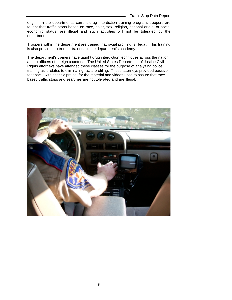origin. In the department's current drug interdiction training program, troopers are taught that traffic stops based on race, color, sex, religion, national origin, or social economic status, are illegal and such activities will not be tolerated by the department.

Troopers within the department are trained that racial profiling is illegal. This training is also provided to trooper trainees in the department's academy.

The department's trainers have taught drug interdiction techniques across the nation and to officers of foreign countries. The United States Department of Justice Civil Rights attorneys have attended these classes for the purpose of analyzing police training as it relates to eliminating racial profiling. These attorneys provided positive feedback, with specific praise, for the material and videos used to assure that racebased traffic stops and searches are not tolerated and are illegal.

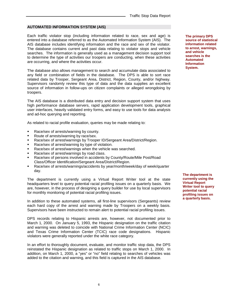#### **AUTOMATED INFORMATION SYSTEM (AIS)**

Each traffic violator stop (including information related to race, sex and age) is entered into a database referred to as the Automated Information System (AIS). The AIS database includes identifying information and the race and sex of the violator. The database contains current and past data relating to violator stops and vehicle searches. The information is generally used as a management decision support tool to determine the type of activities our troopers are conducting, when these activities are occurring, and where the activities occur.

The database also allows management to search and accumulate data associated to any field or combination of fields in the database. The DPS is able to sort race related data by Trooper, Sergeant Area, District, Region, County, and/or highway. Supervisors randomly review this type of data and the data supplies an excellent source of information in follow-ups on citizen complaints or alleged wrongdoing by troopers.

The AIS database is a distributed data entry and decision support system that uses high performance database servers, rapid application development tools, graphical user interfaces, heavily validated entry forms, and easy to use tools for data analysis and ad-hoc querying and reporting.

As related to racial profile evaluation, queries may be made relating to:

- Race/sex of arrests/warning by county.
- Route of arrests/warning by race/sex.
- Race/sex of arrest/warnings by Trooper ID/Sergeant Area/District/Region.
- **Race/sex of arrest/warning by type of violation.**
- Race/sex of arrest/warnings when the vehicle was searched.
- Race/sex of arrest/warnings by road class.
- Race/sex of persons involved in accidents by County/Route/Mile Post/Road Class/Officer Identification/Sergeant Area/District/Region.
- Race/sex of arrests/warnings/accidents by year/month/week/day of week/quarter day.

The department is currently using a Virtual Report Writer tool at the state headquarters level to query potential racial profiling issues on a quarterly basis. We are, however, in the process of designing a query builder for use by local supervisors for monthly monitoring of potential racial profiling issues.

In addition to these automated systems, all first-line supervisors (Sergeants) review each hard copy of the arrest and warning made by Troopers on a weekly basis. Supervisors have been instructed to remain alert to potential racial profiling issues.

DPS records relating to Hispanic arrests are, however, not documented prior to March 1, 2000. On January 5, 1993, the Hispanic designation on the traffic citation and warning was deleted to coincide with National Crime Information Center (NCIC) and Texas Crime Information Center (TCIC) race code designations. Hispanic violators were generally reported under the white race category.

In an effort to thoroughly document, evaluate, and monitor traffic stop data, the DPS reinstated the Hispanic designation as related to traffic stops on March 1, 2000. In addition, on March 1, 2000, a "yes" or "no" field relating to searches of vehicles was added to the citation and warning, and this field is captured in the AIS database.

**The primary DPS source of statistical information related to arrest, warnings, and vehicle searches is the Automated Information System.**

**The department is currently using the Virtual Report Writer tool to query potential racial profiling issues on a quarterly basis.**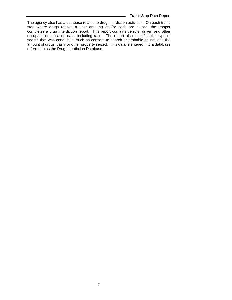Traffic Stop Data Report

The agency also has a database related to drug interdiction activities. On each traffic stop where drugs (above a user amount) and/or cash are seized, the trooper completes a drug interdiction report. This report contains vehicle, driver, and other occupant identification data, including race. The report also identifies the type of search that was conducted, such as consent to search or probable cause, and the amount of drugs, cash, or other property seized. This data is entered into a database referred to as the Drug Interdiction Database.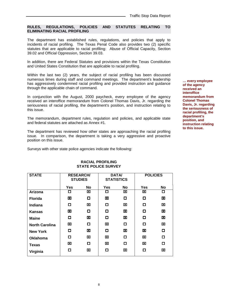#### **RULES, REGULATIONS, POLICIES AND STATUTES RELATING TO ELIMINATING RACIAL PROFILING**

The department has established rules, regulations, and policies that apply to incidents of racial profiling. The Texas Penal Code also provides two (2) specific statutes that are applicable to racial profiling: Abuse of Official Capacity, Section 39.02 and Official Oppression, Section 39.03.

In addition, there are Federal Statutes and provisions within the Texas Constitution and United States Constitution that are applicable to racial profiling.

Within the last two (2) years, the subject of racial profiling has been discussed numerous times during staff and command meetings. The department's leadership has aggressively condemned racial profiling and provided instruction and guidance through the applicable chain of command.

In conjunction with the August, 2000 paycheck, every employee of the agency received an interoffice memorandum from Colonel Thomas Davis, Jr. regarding the seriousness of racial profiling, the department's position, and instruction relating to this issue.

The memorandum, department rules, regulation and policies, and applicable state and federal statutes are attached as Annex #1.

The department has reviewed how other states are approaching the racial profiling issue. In comparison, the department is taking a very aggressive and proactive position on this issue.

Surveys with other state police agencies indicate the following:

| <b>STATE</b>          | <b>RESEARCH/</b><br><b>STUDIES</b> |                         | <b>DATA/</b><br><b>STATISTICS</b> |           |            |           |  |  |  | <b>POLICIES</b> |
|-----------------------|------------------------------------|-------------------------|-----------------------------------|-----------|------------|-----------|--|--|--|-----------------|
|                       | <b>Yes</b>                         | <b>No</b>               | <b>Yes</b>                        | <b>No</b> | <b>Yes</b> | <b>No</b> |  |  |  |                 |
| Arizona               | О                                  | $\overline{\mathbf{x}}$ | О                                 | ⊠         | ⊠          | $\Box$    |  |  |  |                 |
| <b>Florida</b>        | ⊠                                  | о                       | ×                                 | □         | □          | ⊠         |  |  |  |                 |
| Indiana               | □                                  | ⊠                       | П                                 | ⊠         | П          | ⊠         |  |  |  |                 |
| <b>Kansas</b>         | ⊠                                  | □                       | □                                 | ⊠         | □          | ⊠         |  |  |  |                 |
| <b>Maine</b>          | О                                  | 冈                       | п                                 | 冈         | п          | 冈         |  |  |  |                 |
| <b>North Carolina</b> | ⊠                                  | п                       | ⊠                                 | О         | П          | 冈         |  |  |  |                 |
| <b>New York</b>       | П                                  | ×                       | □                                 | ⊠         | ⊠          | □         |  |  |  |                 |
| <b>Oklahoma</b>       | п                                  | 冈                       | 冈                                 | П         | 冈          | П         |  |  |  |                 |
| Texas                 | ⊠                                  | о                       | ⊠                                 | О         | ⊠          | П         |  |  |  |                 |
| Virginia              | П                                  | ⊠                       | □                                 | ⊠         | □          | ⊠         |  |  |  |                 |

#### **RACIAL PROFILING STATE POLICE SURVEY**

**… every employee of the agency received an interoffice memorandum from Colonel Thomas Davis, Jr. regarding the seriousness of racial profiling, the department's position, and instruction relating to this issue.**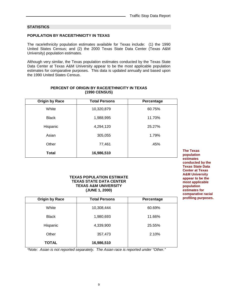#### **STATISTICS**

#### **POPULATION BY RACE/ETHNICITY IN TEXAS**

The race/ethnicity population estimates available for Texas include: (1) the 1990 United States Census; and (2) the 2000 Texas State Data Center (Texas A&M University) population estimates.

Although very similar, the Texas population estimates conducted by the Texas State Data Center at Texas A&M University appear to be the most applicable population estimates for comparative purposes. This data is updated annually and based upon the 1990 United States Census.

| <b>Origin by Race</b> | <b>Total Persons</b> | Percentage |
|-----------------------|----------------------|------------|
| White                 | 10,320,879           | 60.75%     |
| <b>Black</b>          | 1,988,995            | 11.70%     |
| Hispanic              | 4,294,120            | 25.27%     |
| Asian                 | 305,055              | 1.79%      |
| Other                 | 77,461               | .45%       |
| Total                 | 16,986,510           |            |

#### **PERCENT OF ORIGIN BY RACE/ETHNICITY IN TEXAS (1990 CENSUS)**

**The Texas population estimates conducted by the Texas State Data Center at Texas A&M University appear to be the most applicable population estimates for comparative racial profiling purposes.**

#### **TEXAS POPULATION ESTIMATE TEXAS STATE DATA CENTER TEXAS A&M UNIVERSITY (JUNE 1, 2000)**

| <b>Origin by Race</b> | <b>Total Persons</b> | Percentage |
|-----------------------|----------------------|------------|
| White                 | 10,308,444           | 60.69%     |
| <b>Black</b>          | 1,980,693            | 11.66%     |
| Hispanic              | 4,339,900            | 25.55%     |
| Other                 | 357,473              | 2.10%      |
| TOTAL                 | 16,986,510           |            |

*\*Note: Asian is not reported separately. The Asian race is reported under "Other."*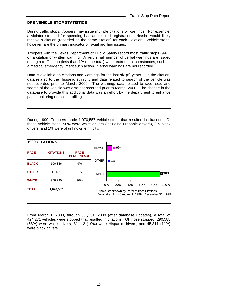#### **DPS VEHICLE STOP STATISTICS**

During traffic stops, troopers may issue multiple citations or warnings. For example, a violator stopped for speeding has an expired registration. He/she would likely receive a citation (recorded on the same citation) for each violation. Vehicle stops, however, are the primary indicator of racial profiling issues.

Troopers with the Texas Department of Public Safety record most traffic stops (99%) on a citation or written warning. A very small number of verbal warnings are issued during a traffic stop (less than 1% of the total) when extreme circumstances, such as a medical emergency, merit such action. Verbal warnings are not recorded.

Data is available on citations and warnings for the last six (6) years. On the citation, data related to the Hispanic ethnicity and data related to search of the vehicle was not recorded prior to March, 2000. The warning, data related to race, sex, and search of the vehicle was also not recorded prior to March, 2000. The change in the database to provide this additional data was an effort by the department to enhance past monitoring of racial profiling issues.

During 1999, Troopers made 1,070,557 vehicle stops that resulted in citations. Of those vehicle stops, 90% were white drivers (including Hispanic drivers), 9% black drivers, and 1% were of unknown ethnicity.



From March 1, 2000, through July 31, 2000 (after database updates), a total of 424,271 vehicles were stopped that resulted in citations. Of those stopped, 290,588 (68%) were white drivers, 81,112 (19%) were Hispanic drivers, and 45,311 (11%) were black drivers.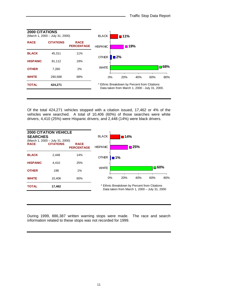

Of the total 424,271 vehicles stopped with a citation issued, 17,462 or 4% of the vehicles were searched. A total of 10,406 (60%) of those searches were white drivers, 4,410 (25%) were Hispanic drivers, and 2,448 (14%) were black drivers.



During 1999, 886,387 written warning stops were made. The race and search information related to these stops was not recorded for 1999.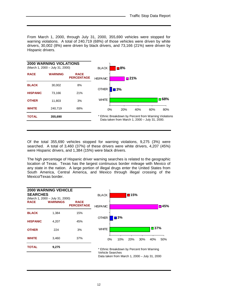From March 1, 2000, through July 31, 2000, 355,690 vehicles were stopped for warning violations. A total of 240,719 (68%) of those vehicles were driven by white drivers, 30,002 (8%) were driven by black drivers, and 73,166 (21%) were driven by Hispanic drivers.



Of the total 355,690 vehicles stopped for warning violations, 9,275 (3%) were searched. A total of 3,460 (37%) of these drivers were white drivers, 4,207 (45%) were Hispanic drivers, and 1,384 (15%) were black drivers.

The high percentage of Hispanic driver warning searches is related to the geographic location of Texas. Texas has the largest continuous border mileage with Mexico of any state in the nation. A large portion of illegal drugs enter the United States from South America, Central America, and Mexico through illegal crossing of the Mexico/Texas border.

| <b>2000 WARNING VEHICLE</b><br><b>SEARCHES</b><br>(March 1, 2000 - July 31, 2000) |                 |                                  | <b>BLACK</b>                                                                                                           |     | $\blacksquare$ 15% |     |      |                    |
|-----------------------------------------------------------------------------------|-----------------|----------------------------------|------------------------------------------------------------------------------------------------------------------------|-----|--------------------|-----|------|--------------------|
| <b>RACE</b>                                                                       | <b>WARNINGS</b> | <b>RACE</b><br><b>PERCENTAGE</b> | <b>HISPANIC</b>                                                                                                        |     |                    |     |      | $\blacksquare$ 45% |
| <b>BLACK</b>                                                                      | 1,384           | 15%                              |                                                                                                                        |     |                    |     |      |                    |
| <b>HISPANIC</b>                                                                   | 4.207           | 45%                              | <b>OTHER</b>                                                                                                           | ∎3% |                    |     |      |                    |
| <b>OTHER</b>                                                                      | 224             | 3%                               | <b>WHITE</b>                                                                                                           |     |                    |     | ■37% |                    |
| <b>WHITE</b>                                                                      | 3,460           | 37%                              | $0\%$                                                                                                                  | 10% | 20%                | 30% | 40%  | 50%                |
| <b>TOTAL</b>                                                                      | 9,275           |                                  | * Ethnic Breakdown by Percent from Warning<br><b>Vehicle Searches</b><br>Data taken from March 1, 2000 - July 31, 2000 |     |                    |     |      |                    |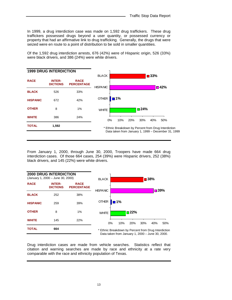, 1999

In 1999, a drug interdiction case was made on 1,592 drug traffickers. These drug traffickers possessed drugs beyond a user quantity, or possessed currency or property that had an affirmative link to drug trafficking. Generally, the drugs that were seized were en route to a point of distribution to be sold in smaller quantities.

| <b>1999 DRUG INTERDICTION</b> |                                  |                                  | $\blacksquare$ 33%<br><b>BLACK</b>                                                                        |
|-------------------------------|----------------------------------|----------------------------------|-----------------------------------------------------------------------------------------------------------|
| <b>RACE</b>                   | <b>INTER-</b><br><b>DICTIONS</b> | <b>RACE</b><br><b>PERCENTAGE</b> | $\blacksquare$ 42%<br><b>HISPANIC</b>                                                                     |
| <b>BLACK</b>                  | 526                              | 33%                              |                                                                                                           |
| <b>HISPANIC</b>               | 672                              | 42%                              | 1%<br><b>OTHER</b>                                                                                        |
| <b>OTHER</b>                  | 8                                | 1%                               | $\square$ 24%<br><b>WHITE</b>                                                                             |
| <b>WHITE</b>                  | 386                              | 24%                              | 0%<br>10%<br>30%<br>20%<br>40%<br>50%                                                                     |
| <b>TOTAL</b>                  | 1,592                            |                                  | * Ethnic Breakdown by Percent from Drug Interdiction<br>Data taken from January 1, 1999 - December 31, 19 |

Of the 1,592 drug interdiction arrests, 676 (42%) were of Hispanic origin, 526 (33%) were black drivers, and 386 (24%) were white drivers.

From January 1, 2000, through June 30, 2000, Troopers have made 664 drug interdiction cases. Of those 664 cases, 254 (39%) were Hispanic drivers, 252 (38%) black drivers, and 145 (22%) were white drivers.

| (January 1, 2000 - June 30, 2000) |               |                                    |  |  |  |  |
|-----------------------------------|---------------|------------------------------------|--|--|--|--|
| <b>RACE</b>                       | <b>INTER-</b> | <b>RACE</b><br>DICTIONS PERCENTAGE |  |  |  |  |
| <b>BLACK</b>                      | 252           | 38%                                |  |  |  |  |
| <b>HISPANIC</b>                   | 259           | 39%                                |  |  |  |  |
| <b>OTHER</b>                      | 8             | 1%                                 |  |  |  |  |
| <b>WHITE</b>                      | 145           | 22%                                |  |  |  |  |
| <b>TOTAL</b>                      | 664           |                                    |  |  |  |  |
|                                   |               |                                    |  |  |  |  |

**2000 DRUG INTERDICTION**



\* Ethnic Breakdown by Percent from Drug Interdiction Data taken from January 1,  $2000 -$  June 30, 2000.

Drug interdiction cases are made from vehicle searches. Statistics reflect that citation and warning searches are made by race and ethnicity at a rate very comparable with the race and ethnicity population of Texas.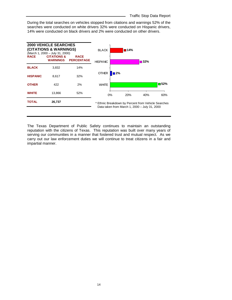During the total searches on vehicles stopped from citations and warnings 52% of the searches were conducted on white drivers 32% were conducted on Hispanic drivers, 14% were conducted on black drivers and 2% were conducted on other drivers.

| <b>2000 VEHICLE SEARCHES</b><br>(CITATIONS & WARNINGS)<br>(March 1, 2000 - July 31, 2000) |                                           |                                  | <b>BLACK</b>    |                   | $\blacksquare$ 14% |                                                                                                      |                    |
|-------------------------------------------------------------------------------------------|-------------------------------------------|----------------------------------|-----------------|-------------------|--------------------|------------------------------------------------------------------------------------------------------|--------------------|
| <b>RACE</b>                                                                               | <b>CITATIONS &amp;</b><br><b>WARNINGS</b> | <b>RACE</b><br><b>PERCENTAGE</b> | <b>HISPANIC</b> |                   |                    | $\blacksquare$ 32%                                                                                   |                    |
| <b>BLACK</b>                                                                              | 3,832                                     | 14%                              |                 |                   |                    |                                                                                                      |                    |
| <b>HISPANIC</b>                                                                           | 8.617                                     | 32%                              | <b>OTHER</b>    | $\blacksquare$ 2% |                    |                                                                                                      |                    |
| <b>OTHER</b>                                                                              | 422                                       | 2%                               | <b>WHITE</b>    |                   |                    |                                                                                                      | $\blacksquare$ 52% |
| <b>WHITE</b>                                                                              | 13,866                                    | 52%                              | $0\%$           |                   | 20%                | 40%                                                                                                  | 60%                |
| <b>TOTAL</b>                                                                              | 26,737                                    |                                  |                 |                   |                    | * Ethnic Breakdown by Percent from Vehicle Searches<br>Data taken from March 1, 2000 - July 31, 2000 |                    |

The Texas Department of Public Safety continues to maintain an outstanding reputation with the citizens of Texas. This reputation was built over many years of serving our communities in a manner that fostered trust and mutual respect. As we carry out our law enforcement duties we will continue to treat citizens in a fair and impartial manner.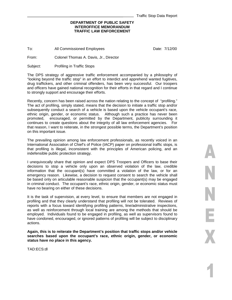#### **DEPARTMENT OF PUBLIC SAFETY INTEROFFICE MEMORANDUM TRAFFIC LAW ENFORCEMENT**

To: All Commissioned Employees **Date: 7/12/00** 

From: Colonel Thomas A. Davis, Jr., Director

Subject: Profiling in Traffic Stops

The DPS strategy of aggressive traffic enforcement accompanied by a philosophy of "looking beyond the traffic stop" in an effort to interdict and apprehend wanted fugitives, drug traffickers, and other criminal offenders, has been very successful. Our troopers and officers have gained national recognition for their efforts in that regard and I continue to strongly support and encourage their efforts.

Recently, concern has been raised across the nation relating to the concept of "profiling." The act of profiling, simply stated, means that the decision to initiate a traffic stop and/or subsequently conduct a search of a vehicle is based upon the vehicle occupant's race, ethnic origin, gender, or economic status. Although such a practice has never been promoted, encouraged, or permitted by the Department, publicity surrounding it continues to create questions about the integrity of all law enforcement agencies. For that reason, I want to reiterate, in the strongest possible terms, the Department's position on this important issue.

The prevailing opinion among law enforcement professionals, as recently voiced in an International Association of Chief's of Police (IACP) paper on professional traffic stops, is that profiling is illegal, inconsistent with the principles of American policing, and an indefensible public protection strategy.

I unequivocally share that opinion and expect DPS Troopers and Officers to base their decisions to stop a vehicle only upon an observed violation of the law, credible information that the occupant(s) have committed a violation of the law, or for an emergency reason. Likewise, a decision to request consent to search the vehicle shall be based only on articulable reasonable suspicion that the occupant(s) may be engaged in criminal conduct. The occupant's race, ethnic origin, gender, or economic status must have no bearing on either of these decisions.

It is the task of supervision, at every level, to ensure that members are not engaged in profiling and that they clearly understand that profiling will not be tolerated. Reviews of reports with a focus toward identifying profiling patterns, line/administrative inspections, as well as reinforcement through local training are among the methods that should be employed. Individuals found to be engaged in profiling, as well as supervisors found to have condoned, encouraged, or ignored patterns of profiling will be subject to disciplinary actions.

**Again, this is to reiterate the Department's position that traffic stops and/or vehicle searches based upon the occupant's race, ethnic origin, gender, or economic status have no place in this agency.**

TAD:ECS:dl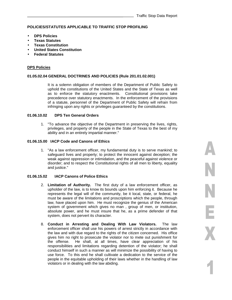#### **POLICIES/STATUTES APPLICABLE TO TRAFFIC STOP PROFILING**

- **DPS Policies**
- **Texas Statutes**
- **Texas Constitution**
- **United States Constitution**
- **Federal Statutes**

#### **DPS Policies**

#### **01.05.02.04 GENERAL DOCTRINES AND POLICIES (Rule 201.01.02.001)**

It is a solemn obligation of members of the Department of Public Safety to uphold the constitutions of the United States and the State of Texas as well as to enforce the statutory enactments. Constitutional provisions take precedence over statutory enactments. In the enforcement of the provisions of a statute, personnel of the Department of Public Safety will refrain from infringing upon any rights or privileges guaranteed by the constitutions.

#### **01.06.10.02 DPS Ten General Orders**

1. "To advance the objective of the Department in preserving the lives, rights, privileges, and property of the people in the State of Texas to the best of my ability and in an entirely impartial manner."

#### **01.06.15.00 IACP Code and Canons of Ethics**

1. "As a law enforcement officer, my fundamental duty is to serve mankind; to safeguard lives and property; to protect the innocent against deception; the weak against oppression or intimidation, and the peaceful against violence or disorder; and to respect the Constitutional rights of all men to liberty, equality and justice."

#### **01.06.15.02 IACP Canons of Police Ethics**

- 2. **Limitation of Authority.** The first duty of a law enforcement officer, as upholder of the law, is to know its bounds upon him enforcing it. Because he represents the legal will of the community, be it local, state, or federal, he must be aware of the limitations and proscriptions which the people, through law, have placed upon him. He must recognize the genius of the American system of government which gives no man , group of men, or institution, absolute power, and he must insure that he, as a prime defender of that system, does not pervert its character.
- 8. **Conduct in Arresting and Dealing With Law Violators.** The law enforcement officer shall use his powers of arrest strictly in accordance with the law and with due regard to the rights of the citizen concerned. His office gives him no right to prosecute the violator nor to mete out punishment for the offense. He shall, at all times, have clear appreciation of his responsibilities and limitations regarding detention of the violator; he shall conduct himself in such a manner as will minimize the possibility of having to use force. To this end he shall cultivate a dedication to the service of the people in the equitable upholding of their laws whether in the handling of law violators or in dealing with the law abiding.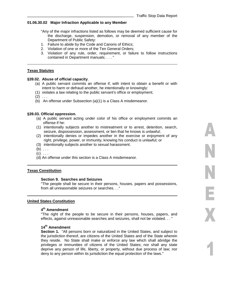#### **01.06.30.02 Major Infraction Applicable to any Member**

- "Any of the major infractions listed as follows may be deemed sufficient cause for the discharge, suspension, demotion, or removal of any member of the Department of Public Safety:
- 1. Failure to abide by the Code and Canons of Ethics;
- 2. Violation of one or more of the Ten General Orders;
- 3. Violation of any rule, order, requirement, or failure to follow instructions contained in Department manuals; . . . "

#### **Texas Statutes**

#### **§39.02. Abuse of official capacity**.

- (a) A public servant commits an offense if, with intent to obtain a benefit or with intent to harm or defraud another, he intentionally or knowingly:
- (1) violates a law relating to the public servant's office or employment;
- $(2) \ldots$
- (b) An offense under Subsection (a)(1) is a Class A misdemeanor.

#### **§39.03. Official oppression.**

- (a) A public servant acting under color of his office or employment commits an offense if he:
- (1) intentionally subjects another to mistreatment or to arrest, detention, search, seizure, dispossession, assessment, or lien that he knows is unlawful;
- (2) intentionally denies or impedes another in the exercise or enjoyment of any right, privilege, power, or immunity, knowing his conduct is unlawful; or
- (3) intentionally subjects another to sexual harassment.
- $(b) \ldots$
- $(c) \ldots$
- (d) An offense under this section is a Class A misdemeanor.

#### **Texas Constitution**

#### **Section 9. Searches and Seizures**

"The people shall be secure in their persons, houses, papers and possessions, from all unreasonable seizures or searches. . .'

#### **United States Constitution**

#### **4th Amendment**

"The right of the people to be secure in their persons, houses, papers, and effects, against unreasonable searches and seizures, shall not be violated. . . "

#### **14th Amendment**

**Section 1.** "All persons born or naturalized in the United States, and subject to the jurisdiction thereof, are citizens of the United States and of the State wherein they reside. No State shall make or enforce any law which shall abridge the privileges or immunities of citizens of the United States; nor shall any state deprive any person of life, liberty, or property, without due process of law; nor deny to any person within its jurisdiction the equal protection of the laws."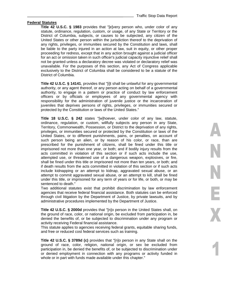#### **Federal Statutes**

**Title 42 U.S.C. § 1983** provides that "[e]very person who, under color of any statute, ordinance, regulation, custom, or usage, of any State or Territory or the District of Columbia, subjects, or causes to be subjected, any citizen of the United States or other person within the jurisdiction thereof to the deprivation of any rights, privileges, or immunities secured by the Constitution and laws, shall be liable to the party injured in an action at law, suit in equity, or other proper proceeding for redress, except that in any action brought against a judicial officer for an act or omission taken in such officer's judicial capacity injunctive relief shall not be granted unless a declaratory decree was violated or declaratory relief was unavailable. For the purposes of this section, any Act of Congress applicable exclusively to the District of Columbia shall be considered to be a statute of the District of Columbia.

**Title 42 U.S.C. § 14141**, provides that "[i]t shall be unlawful for any governmental authority, or any agent thereof, or any person acting on behalf of a governmental authority, to engage in a pattern or practice of conduct by law enforcement officers or by officials or employees of any governmental agency with responsibility for the administration of juvenile justice or the incarceration of juveniles that deprives persons of rights, privileges, or immunities secured or protected by the Constitution or laws of the United States."

**Title 18 U.S.C. § 242** states "[w]hoever, under color of any law, statute, ordinance, regulation, or custom, willfully subjects any person in any State, Territory, Commonwealth, Possession, or District to the deprivation of any rights, privileges, or immunities secured or protected by the Constitution or laws of the United States, or to different punishments, pains, or penalties, on account of such person being an alien, or by reason of his color, or race, than are prescribed for the punishment of citizens, shall be fined under this title or imprisoned not more than one year, or both; and if bodily injury results from the acts committed in violation of this section or if such acts include the use, attempted use, or threatened use of a dangerous weapon, explosives, or fire, shall be fined under this title or imprisoned not more than ten years, or both; and if death results from the acts committed in violation of this section or if such acts include kidnapping or an attempt to kidnap, aggravated sexual abuse, or an attempt to commit aggravated sexual abuse, or an attempt to kill, shall be fined under this title, or imprisoned for any term of years or for life, or both, or may be sentenced to death."

Two additional statutes exist that prohibit discrimination by law enforcement agencies that receive federal financial assistance. Both statutes can be enforced through civil litigation by the Department of Justice, by private lawsuits, and by administrative procedures implemented by the Department of Justice.

**Title 42 U.S.C. § 2000d** provides that "[n]o person in the United States shall, on the ground of race, color, or national origin, be excluded from participation in, be denied the benefits of, or be subjected to discrimination under any program or activity receiving Federal financial assistance.

This statute applies to agencies receiving federal grants, equitable sharing funds, and free or reduced cost federal services such as training.

**Title 42 U.S.C. § 3789d (c)** provides that "[n]o person in any State shall on the ground of race, color, religion, national origin, or sex be excluded from participation in, be denied the benefits of, or be subjected to discrimination under or denied employment in connection with any programs or activity funded in whole or in part with funds made available under this chapter."